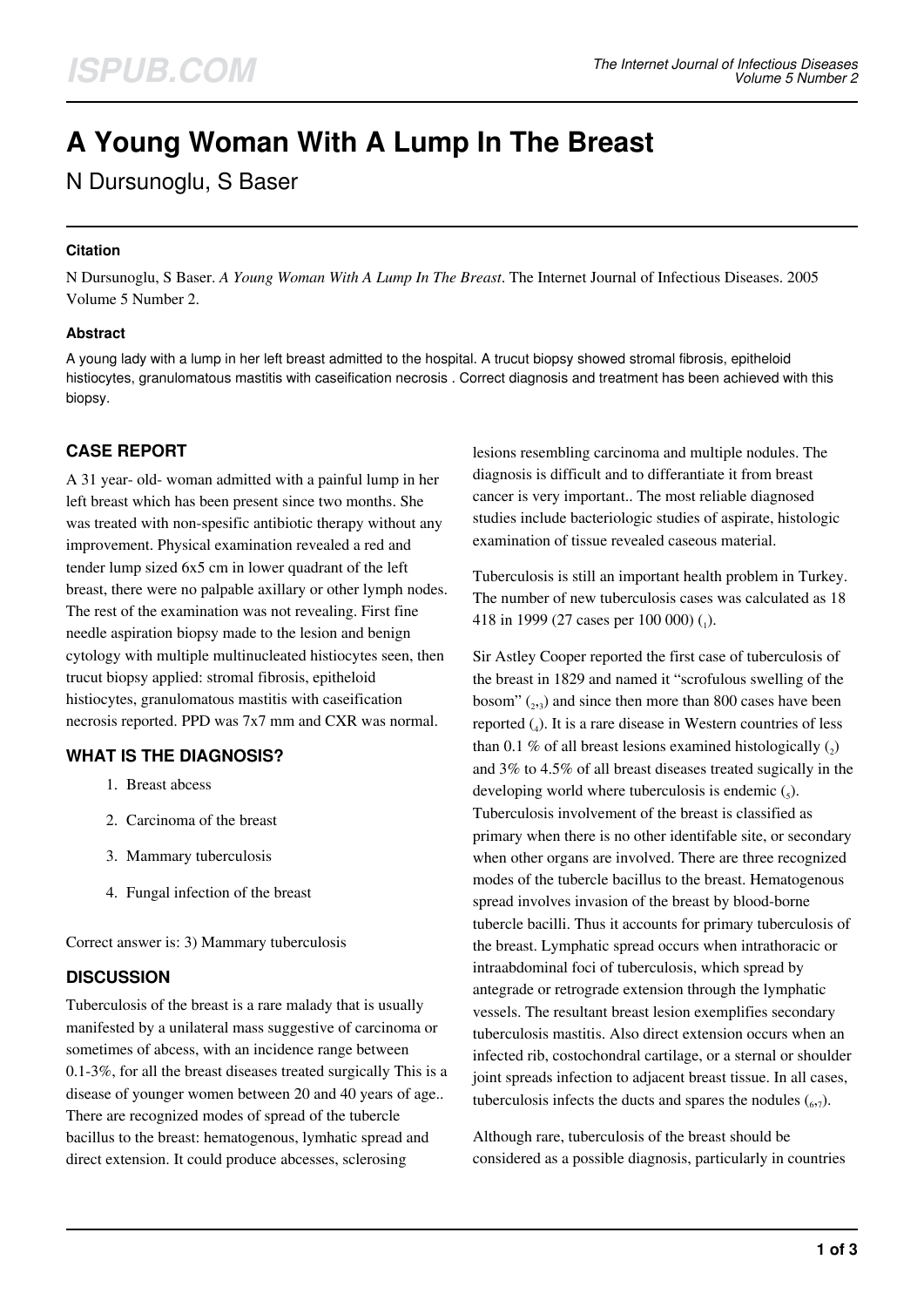# **A Young Woman With A Lump In The Breast**

# N Dursunoglu, S Baser

# **Citation**

N Dursunoglu, S Baser. *A Young Woman With A Lump In The Breast*. The Internet Journal of Infectious Diseases. 2005 Volume 5 Number 2.

## **Abstract**

A young lady with a lump in her left breast admitted to the hospital. A trucut biopsy showed stromal fibrosis, epitheloid histiocytes, granulomatous mastitis with caseification necrosis . Correct diagnosis and treatment has been achieved with this biopsy.

# **CASE REPORT**

A 31 year- old- woman admitted with a painful lump in her left breast which has been present since two months. She was treated with non-spesific antibiotic therapy without any improvement. Physical examination revealed a red and tender lump sized 6x5 cm in lower quadrant of the left breast, there were no palpable axillary or other lymph nodes. The rest of the examination was not revealing. First fine needle aspiration biopsy made to the lesion and benign cytology with multiple multinucleated histiocytes seen, then trucut biopsy applied: stromal fibrosis, epitheloid histiocytes, granulomatous mastitis with caseification necrosis reported. PPD was 7x7 mm and CXR was normal.

# **WHAT IS THE DIAGNOSIS?**

- 1. Breast abcess
- 2. Carcinoma of the breast
- 3. Mammary tuberculosis
- 4. Fungal infection of the breast

Correct answer is: 3) Mammary tuberculosis

# **DISCUSSION**

Tuberculosis of the breast is a rare malady that is usually manifested by a unilateral mass suggestive of carcinoma or sometimes of abcess, with an incidence range between 0.1-3%, for all the breast diseases treated surgically This is a disease of younger women between 20 and 40 years of age.. There are recognized modes of spread of the tubercle bacillus to the breast: hematogenous, lymhatic spread and direct extension. It could produce abcesses, sclerosing

lesions resembling carcinoma and multiple nodules. The diagnosis is difficult and to differantiate it from breast cancer is very important.. The most reliable diagnosed studies include bacteriologic studies of aspirate, histologic examination of tissue revealed caseous material.

Tuberculosis is still an important health problem in Turkey. The number of new tuberculosis cases was calculated as 18 418 in 1999 (27 cases per 100 000) (1).

Sir Astley Cooper reported the first case of tuberculosis of the breast in 1829 and named it "scrofulous swelling of the bosom"  $_{(2,3)}$  and since then more than 800 cases have been reported  $_{(4)}$ . It is a rare disease in Western countries of less than 0.1 % of all breast lesions examined histologically  $(_{2})$ and 3% to 4.5% of all breast diseases treated sugically in the developing world where tuberculosis is endemic  $\zeta$ . Tuberculosis involvement of the breast is classified as primary when there is no other identifable site, or secondary when other organs are involved. There are three recognized modes of the tubercle bacillus to the breast. Hematogenous spread involves invasion of the breast by blood-borne tubercle bacilli. Thus it accounts for primary tuberculosis of the breast. Lymphatic spread occurs when intrathoracic or intraabdominal foci of tuberculosis, which spread by antegrade or retrograde extension through the lymphatic vessels. The resultant breast lesion exemplifies secondary tuberculosis mastitis. Also direct extension occurs when an infected rib, costochondral cartilage, or a sternal or shoulder joint spreads infection to adjacent breast tissue. In all cases, tuberculosis infects the ducts and spares the nodules  $(6,7)$ .

Although rare, tuberculosis of the breast should be considered as a possible diagnosis, particularly in countries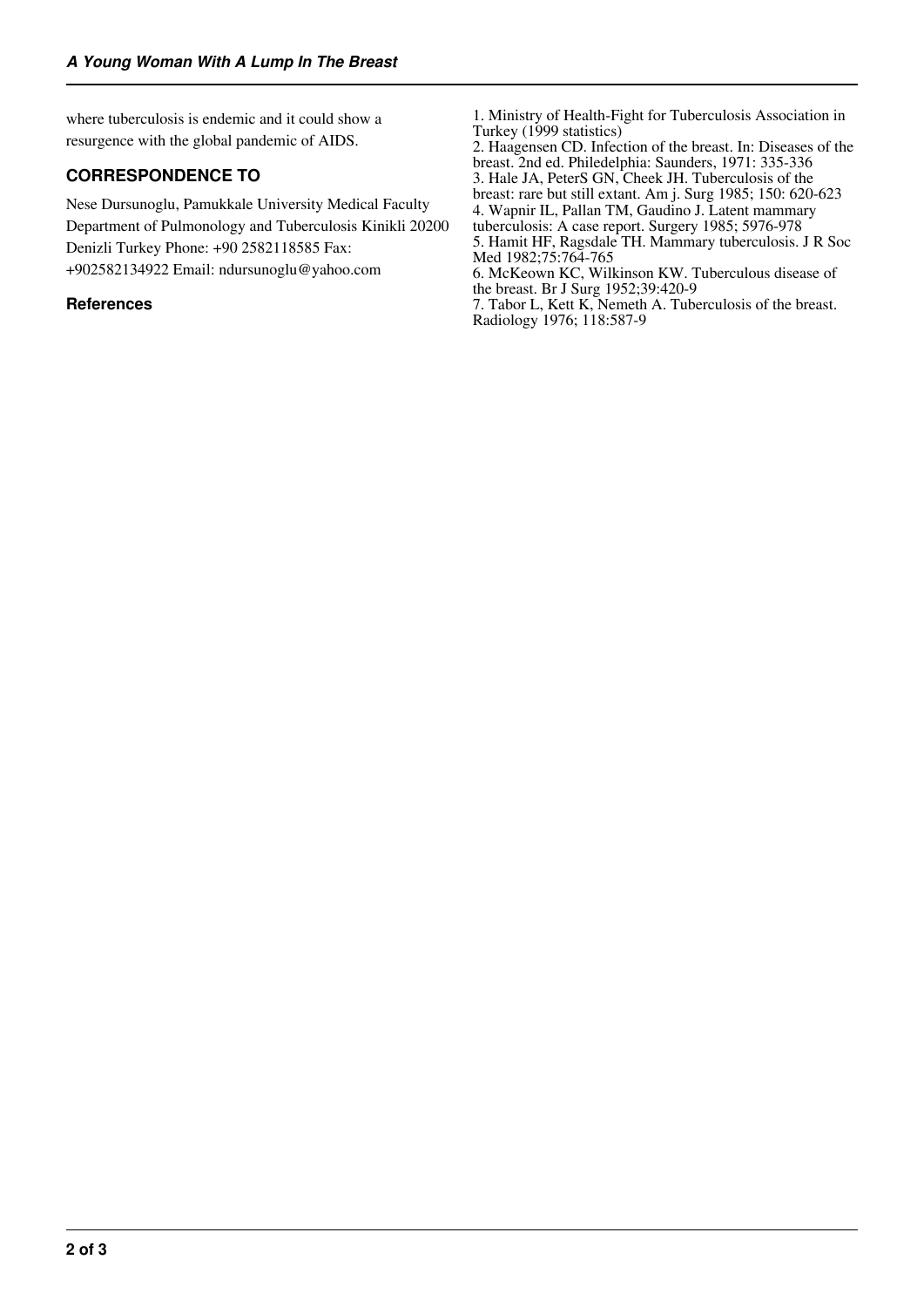where tuberculosis is endemic and it could show a resurgence with the global pandemic of AIDS.

# **CORRESPONDENCE TO**

Nese Dursunoglu, Pamukkale University Medical Faculty Department of Pulmonology and Tuberculosis Kinikli 20200 Denizli Turkey Phone: +90 2582118585 Fax: +902582134922 Email: ndursunoglu@yahoo.com

### **References**

1. Ministry of Health-Fight for Tuberculosis Association in Turkey (1999 statistics)

2. Haagensen CD. Infection of the breast. In: Diseases of the breast. 2nd ed. Philedelphia: Saunders, 1971: 335-336 3. Hale JA, PeterS GN, Cheek JH. Tuberculosis of the breast: rare but still extant. Am j. Surg 1985; 150: 620-623 4. Wapnir IL, Pallan TM, Gaudino J. Latent mammary tuberculosis: A case report. Surgery 1985; 5976-978 5. Hamit HF, Ragsdale TH. Mammary tuberculosis. J R Soc Med 1982;75:764-765

6. McKeown KC, Wilkinson KW. Tuberculous disease of the breast. Br J Surg 1952;39:420-9

7. Tabor L, Kett K, Nemeth A. Tuberculosis of the breast. Radiology 1976; 118:587-9